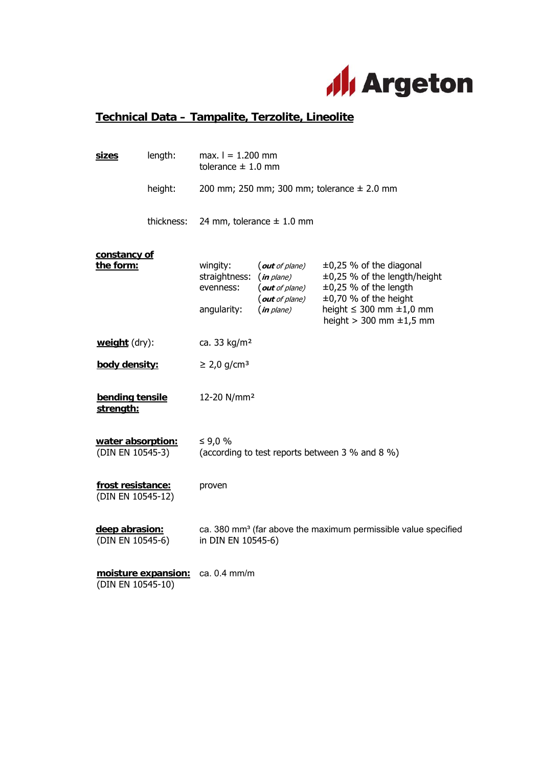

## **Technical Data – Tampalite, Terzolite, Lineolite**

|  | sizes                                                                                                                                                                                                                                                            | length:    | max. $I = 1.200$ mm<br>tolerance $\pm$ 1.0 mm                                                    |                                                                                |                                                                                                                                                                                                 |  |
|--|------------------------------------------------------------------------------------------------------------------------------------------------------------------------------------------------------------------------------------------------------------------|------------|--------------------------------------------------------------------------------------------------|--------------------------------------------------------------------------------|-------------------------------------------------------------------------------------------------------------------------------------------------------------------------------------------------|--|
|  |                                                                                                                                                                                                                                                                  | height:    |                                                                                                  |                                                                                | 200 mm; 250 mm; 300 mm; tolerance $\pm$ 2.0 mm                                                                                                                                                  |  |
|  |                                                                                                                                                                                                                                                                  | thickness: | 24 mm, tolerance $\pm$ 1.0 mm                                                                    |                                                                                |                                                                                                                                                                                                 |  |
|  | constancy of<br>the form:<br>weight (dry):<br>body density:<br>bending tensile<br>strength:<br>water absorption:<br>(DIN EN 10545-3)<br>frost resistance:<br>(DIN EN 10545-12)<br>deep abrasion:<br>(DIN EN 10545-6)<br>moisture expansion:<br>(DIN EN 10545-10) |            | wingity:<br>straightness:<br>evenness:<br>angularity:                                            | (out of plane)<br>(in plane)<br>(out of plane)<br>(out of plane)<br>(in plane) | $\pm 0.25$ % of the diagonal<br>±0,25 % of the length/height<br>$\pm 0.25$ % of the length<br>$\pm 0.70$ % of the height<br>height $\leq$ 300 mm $\pm$ 1,0 mm<br>height $>$ 300 mm $\pm$ 1,5 mm |  |
|  |                                                                                                                                                                                                                                                                  |            | ca. 33 kg/m <sup>2</sup>                                                                         |                                                                                |                                                                                                                                                                                                 |  |
|  |                                                                                                                                                                                                                                                                  |            | $\geq$ 2,0 g/cm <sup>3</sup>                                                                     |                                                                                |                                                                                                                                                                                                 |  |
|  |                                                                                                                                                                                                                                                                  |            | 12-20 N/mm <sup>2</sup>                                                                          |                                                                                |                                                                                                                                                                                                 |  |
|  |                                                                                                                                                                                                                                                                  |            | ≤ 9,0 %<br>(according to test reports between 3 % and 8 %)                                       |                                                                                |                                                                                                                                                                                                 |  |
|  |                                                                                                                                                                                                                                                                  |            | proven                                                                                           |                                                                                |                                                                                                                                                                                                 |  |
|  |                                                                                                                                                                                                                                                                  |            | ca. 380 mm <sup>3</sup> (far above the maximum permissible value specified<br>in DIN EN 10545-6) |                                                                                |                                                                                                                                                                                                 |  |
|  |                                                                                                                                                                                                                                                                  |            | ca. 0.4 mm/m                                                                                     |                                                                                |                                                                                                                                                                                                 |  |